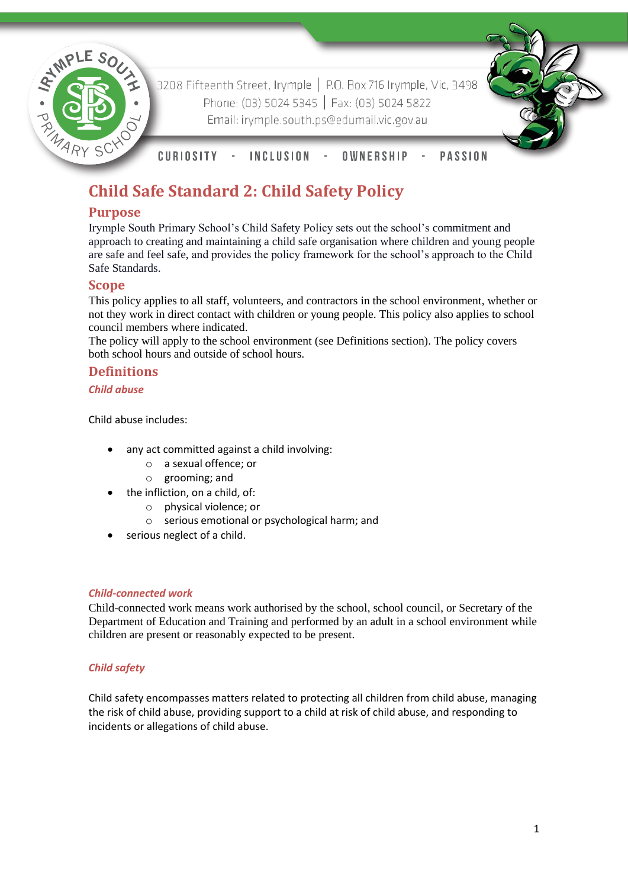

3208 Fifteenth Street, Irymple | P.O. Box 716 Irymple, Vic, 3498 Phone: (03) 5024 5345 | Fax: (03) 5024 5822 Email: irymple.south.ps@edumail.vic.gov.au



**CURIOSITY INCLUSION** OWNERSHIP **PASSION**  $\sim$   $-$ 

# **Child Safe Standard 2: Child Safety Policy**

# **Purpose**

Irymple South Primary School's Child Safety Policy sets out the school's commitment and approach to creating and maintaining a child safe organisation where children and young people are safe and feel safe, and provides the policy framework for the school's approach to the Child Safe Standards.

# **Scope**

This policy applies to all staff, volunteers, and contractors in the school environment, whether or not they work in direct contact with children or young people. This policy also applies to school council members where indicated.

The policy will apply to the school environment (see Definitions section). The policy covers both school hours and outside of school hours.

# **Definitions**

*Child abuse*

Child abuse includes:

- any act committed against a child involving:
	- o a sexual offence; or
	- o grooming; and
- the infliction, on a child, of:
	- o physical violence; or
	- o serious emotional or psychological harm; and
- serious neglect of a child.

## *Child-connected work*

Child-connected work means work authorised by the school, school council, or Secretary of the Department of Education and Training and performed by an adult in a school environment while children are present or reasonably expected to be present.

## *Child safety*

Child safety encompasses matters related to protecting all children from child abuse, managing the risk of child abuse, providing support to a child at risk of child abuse, and responding to incidents or allegations of child abuse.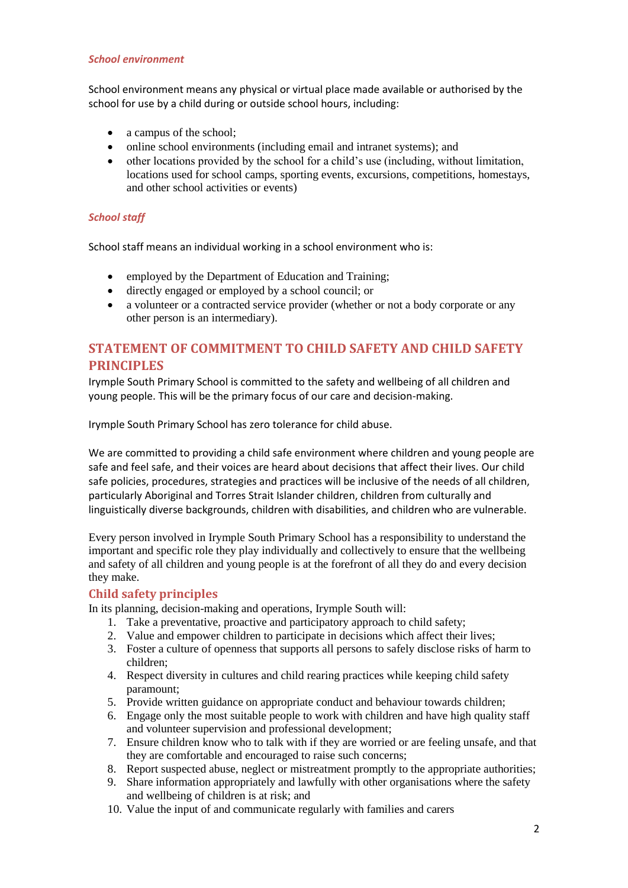#### *School environment*

School environment means any physical or virtual place made available or authorised by the school for use by a child during or outside school hours, including:

- a campus of the school;
- online school environments (including email and intranet systems); and
- other locations provided by the school for a child's use (including, without limitation, locations used for school camps, sporting events, excursions, competitions, homestays, and other school activities or events)

#### *School staff*

School staff means an individual working in a school environment who is:

- employed by the Department of Education and Training;
- directly engaged or employed by a school council; or
- a volunteer or a contracted service provider (whether or not a body corporate or any other person is an intermediary).

# **STATEMENT OF COMMITMENT TO CHILD SAFETY AND CHILD SAFETY PRINCIPLES**

Irymple South Primary School is committed to the safety and wellbeing of all children and young people. This will be the primary focus of our care and decision-making.

Irymple South Primary School has zero tolerance for child abuse.

We are committed to providing a child safe environment where children and young people are safe and feel safe, and their voices are heard about decisions that affect their lives. Our child safe policies, procedures, strategies and practices will be inclusive of the needs of all children, particularly Aboriginal and Torres Strait Islander children, children from culturally and linguistically diverse backgrounds, children with disabilities, and children who are vulnerable.

Every person involved in Irymple South Primary School has a responsibility to understand the important and specific role they play individually and collectively to ensure that the wellbeing and safety of all children and young people is at the forefront of all they do and every decision they make.

## **Child safety principles**

In its planning, decision-making and operations, Irymple South will:

- 1. Take a preventative, proactive and participatory approach to child safety;
- 2. Value and empower children to participate in decisions which affect their lives;
- 3. Foster a culture of openness that supports all persons to safely disclose risks of harm to children;
- 4. Respect diversity in cultures and child rearing practices while keeping child safety paramount;
- 5. Provide written guidance on appropriate conduct and behaviour towards children;
- 6. Engage only the most suitable people to work with children and have high quality staff and volunteer supervision and professional development;
- 7. Ensure children know who to talk with if they are worried or are feeling unsafe, and that they are comfortable and encouraged to raise such concerns;
- 8. Report suspected abuse, neglect or mistreatment promptly to the appropriate authorities;
- 9. Share information appropriately and lawfully with other organisations where the safety and wellbeing of children is at risk; and
- 10. Value the input of and communicate regularly with families and carers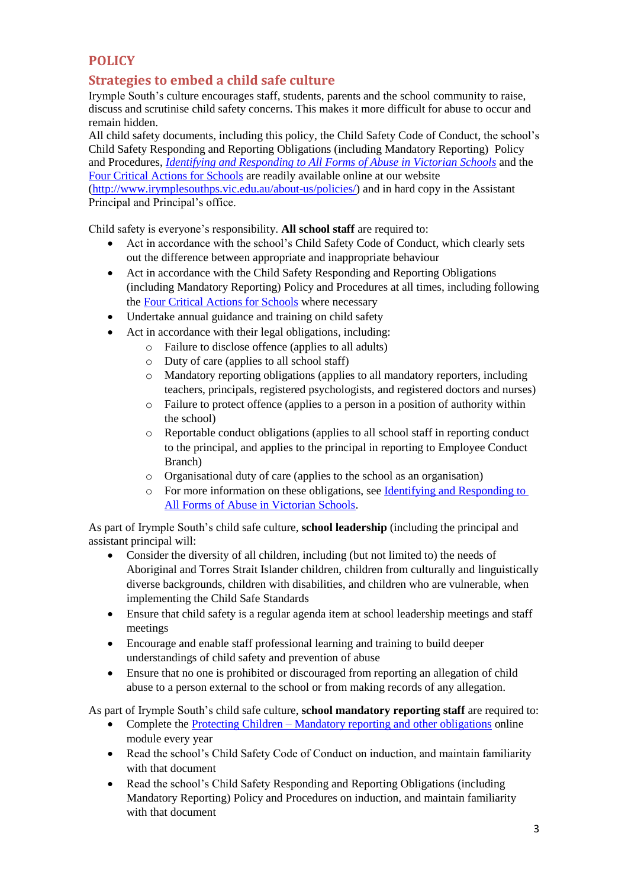# **POLICY**

# **Strategies to embed a child safe culture**

Irymple South's culture encourages staff, students, parents and the school community to raise, discuss and scrutinise child safety concerns. This makes it more difficult for abuse to occur and remain hidden.

All child safety documents, including this policy, the Child Safety Code of Conduct, the school's Child Safety Responding and Reporting Obligations (including Mandatory Reporting) Policy and Procedures, *[Identifying and Responding to All Forms of Abuse in Victorian Schools](https://www.education.vic.gov.au/Documents/about/programs/health/protect/ChildSafeStandard5_SchoolsGuide.pdf)* and the [Four Critical Actions for Schools](https://www.education.vic.gov.au/Documents/about/programs/health/protect/FourCriticalActions_ChildAbuse.pdf) are readily available online at our website [\(http://www.irymplesouthps.vic.edu.au/about-us/policies/\)](http://www.irymplesouthps.vic.edu.au/about-us/policies/) and in hard copy in the Assistant Principal and Principal's office.

Child safety is everyone's responsibility. **All school staff** are required to:

- Act in accordance with the school's Child Safety Code of Conduct, which clearly sets out the difference between appropriate and inappropriate behaviour
- Act in accordance with the Child Safety Responding and Reporting Obligations (including Mandatory Reporting) Policy and Procedures at all times, including following the [Four Critical Actions for Schools](https://www.education.vic.gov.au/Documents/about/programs/health/protect/FourCriticalActions_ChildAbuse.pdf) where necessary
- Undertake annual guidance and training on child safety
- Act in accordance with their legal obligations, including:
	- o Failure to disclose offence (applies to all adults)
		- o Duty of care (applies to all school staff)
		- o Mandatory reporting obligations (applies to all mandatory reporters, including teachers, principals, registered psychologists, and registered doctors and nurses)
		- o Failure to protect offence (applies to a person in a position of authority within the school)
		- o Reportable conduct obligations (applies to all school staff in reporting conduct to the principal, and applies to the principal in reporting to Employee Conduct Branch)
		- o Organisational duty of care (applies to the school as an organisation)
		- o For more information on these obligations, see [Identifying and Responding to](https://www.education.vic.gov.au/Documents/about/programs/health/protect/ChildSafeStandard5_SchoolsGuide.pdf)  [All Forms of Abuse in Victorian Schools.](https://www.education.vic.gov.au/Documents/about/programs/health/protect/ChildSafeStandard5_SchoolsGuide.pdf)

As part of Irymple South's child safe culture, **school leadership** (including the principal and assistant principal will:

- Consider the diversity of all children, including (but not limited to) the needs of Aboriginal and Torres Strait Islander children, children from culturally and linguistically diverse backgrounds, children with disabilities, and children who are vulnerable, when implementing the Child Safe Standards
- Ensure that child safety is a regular agenda item at school leadership meetings and staff meetings
- Encourage and enable staff professional learning and training to build deeper understandings of child safety and prevention of abuse
- Ensure that no one is prohibited or discouraged from reporting an allegation of child abuse to a person external to the school or from making records of any allegation.

As part of Irymple South's child safe culture, **school mandatory reporting staff** are required to:

- Complete the Protecting Children [Mandatory reporting and other obligations](http://elearn.com.au/det/protectingchildren/) online module every year
- Read the school's Child Safety Code of Conduct on induction, and maintain familiarity with that document
- Read the school's Child Safety Responding and Reporting Obligations (including Mandatory Reporting) Policy and Procedures on induction, and maintain familiarity with that document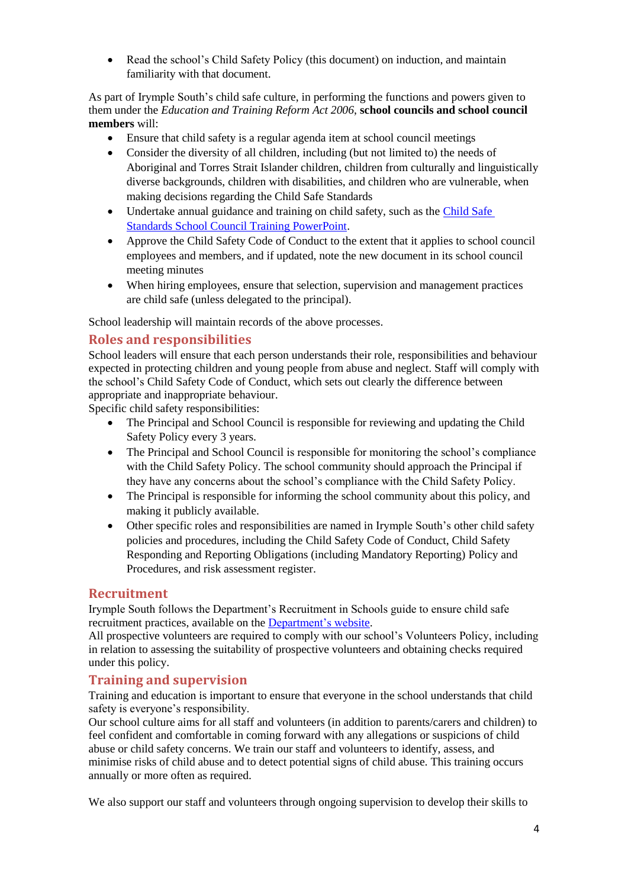• Read the school's Child Safety Policy (this document) on induction, and maintain familiarity with that document.

As part of Irymple South's child safe culture, in performing the functions and powers given to them under the *Education and Training Reform Act 2006*, **school councils and school council members** will:

- Ensure that child safety is a regular agenda item at school council meetings
- Consider the diversity of all children, including (but not limited to) the needs of Aboriginal and Torres Strait Islander children, children from culturally and linguistically diverse backgrounds, children with disabilities, and children who are vulnerable, when making decisions regarding the Child Safe Standards
- Undertake annual guidance and training on child safety, such as the Child Safe [Standards School Council Training PowerPoint.](https://www.education.vic.gov.au/Documents/about/programs/health/protect/school-council-training.pptx)
- Approve the Child Safety Code of Conduct to the extent that it applies to school council employees and members, and if updated, note the new document in its school council meeting minutes
- When hiring employees, ensure that selection, supervision and management practices are child safe (unless delegated to the principal).

School leadership will maintain records of the above processes.

# **Roles and responsibilities**

School leaders will ensure that each person understands their role, responsibilities and behaviour expected in protecting children and young people from abuse and neglect. Staff will comply with the school's Child Safety Code of Conduct, which sets out clearly the difference between appropriate and inappropriate behaviour.

Specific child safety responsibilities:

- The Principal and School Council is responsible for reviewing and updating the Child Safety Policy every 3 years.
- The Principal and School Council is responsible for monitoring the school's compliance with the Child Safety Policy. The school community should approach the Principal if they have any concerns about the school's compliance with the Child Safety Policy.
- The Principal is responsible for informing the school community about this policy, and making it publicly available.
- Other specific roles and responsibilities are named in Irymple South's other child safety policies and procedures, including the Child Safety Code of Conduct, Child Safety Responding and Reporting Obligations (including Mandatory Reporting) Policy and Procedures, and risk assessment register.

## **Recruitment**

Irymple South follows the Department's Recruitment in Schools guide to ensure child safe recruitment practices, available on the [Department's website.](https://www.education.vic.gov.au/hrweb/careers/Pages/recruitinsch.aspx)

All prospective volunteers are required to comply with our school's Volunteers Policy, including in relation to assessing the suitability of prospective volunteers and obtaining checks required under this policy.

## **Training and supervision**

Training and education is important to ensure that everyone in the school understands that child safety is everyone's responsibility.

Our school culture aims for all staff and volunteers (in addition to parents/carers and children) to feel confident and comfortable in coming forward with any allegations or suspicions of child abuse or child safety concerns. We train our staff and volunteers to identify, assess, and minimise risks of child abuse and to detect potential signs of child abuse. This training occurs annually or more often as required.

We also support our staff and volunteers through ongoing supervision to develop their skills to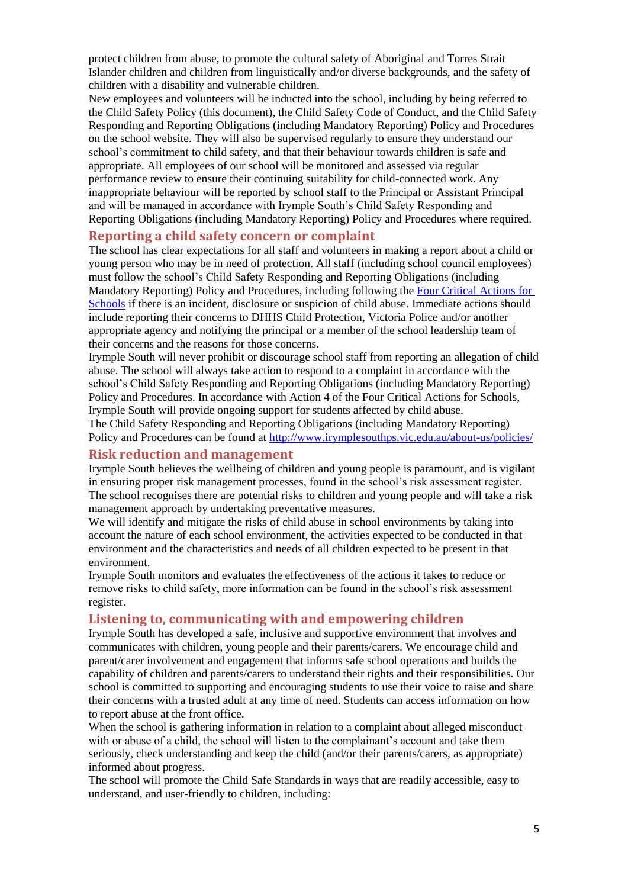protect children from abuse, to promote the cultural safety of Aboriginal and Torres Strait Islander children and children from linguistically and/or diverse backgrounds, and the safety of children with a disability and vulnerable children.

New employees and volunteers will be inducted into the school, including by being referred to the Child Safety Policy (this document), the Child Safety Code of Conduct, and the Child Safety Responding and Reporting Obligations (including Mandatory Reporting) Policy and Procedures on the school website. They will also be supervised regularly to ensure they understand our school's commitment to child safety, and that their behaviour towards children is safe and appropriate. All employees of our school will be monitored and assessed via regular performance review to ensure their continuing suitability for child-connected work. Any inappropriate behaviour will be reported by school staff to the Principal or Assistant Principal and will be managed in accordance with Irymple South's Child Safety Responding and Reporting Obligations (including Mandatory Reporting) Policy and Procedures where required.

## **Reporting a child safety concern or complaint**

The school has clear expectations for all staff and volunteers in making a report about a child or young person who may be in need of protection. All staff (including school council employees) must follow the school's Child Safety Responding and Reporting Obligations (including Mandatory Reporting) Policy and Procedures, including following the [Four Critical Actions for](https://www.education.vic.gov.au/Documents/about/programs/health/protect/FourCriticalActions_ChildAbuse.pdf)  [Schools](https://www.education.vic.gov.au/Documents/about/programs/health/protect/FourCriticalActions_ChildAbuse.pdf) if there is an incident, disclosure or suspicion of child abuse. Immediate actions should include reporting their concerns to DHHS Child Protection, Victoria Police and/or another appropriate agency and notifying the principal or a member of the school leadership team of their concerns and the reasons for those concerns.

Irymple South will never prohibit or discourage school staff from reporting an allegation of child abuse. The school will always take action to respond to a complaint in accordance with the school's Child Safety Responding and Reporting Obligations (including Mandatory Reporting) Policy and Procedures. In accordance with Action 4 of the Four Critical Actions for Schools, Irymple South will provide ongoing support for students affected by child abuse.

The Child Safety Responding and Reporting Obligations (including Mandatory Reporting) Policy and Procedures can be found at<http://www.irymplesouthps.vic.edu.au/about-us/policies/>

## **Risk reduction and management**

Irymple South believes the wellbeing of children and young people is paramount, and is vigilant in ensuring proper risk management processes, found in the school's risk assessment register. The school recognises there are potential risks to children and young people and will take a risk management approach by undertaking preventative measures.

We will identify and mitigate the risks of child abuse in school environments by taking into account the nature of each school environment, the activities expected to be conducted in that environment and the characteristics and needs of all children expected to be present in that environment.

Irymple South monitors and evaluates the effectiveness of the actions it takes to reduce or remove risks to child safety, more information can be found in the school's risk assessment register.

#### **Listening to, communicating with and empowering children**

Irymple South has developed a safe, inclusive and supportive environment that involves and communicates with children, young people and their parents/carers. We encourage child and parent/carer involvement and engagement that informs safe school operations and builds the capability of children and parents/carers to understand their rights and their responsibilities. Our school is committed to supporting and encouraging students to use their voice to raise and share their concerns with a trusted adult at any time of need. Students can access information on how to report abuse at the front office.

When the school is gathering information in relation to a complaint about alleged misconduct with or abuse of a child, the school will listen to the complainant's account and take them seriously, check understanding and keep the child (and/or their parents/carers, as appropriate) informed about progress.

The school will promote the Child Safe Standards in ways that are readily accessible, easy to understand, and user-friendly to children, including: